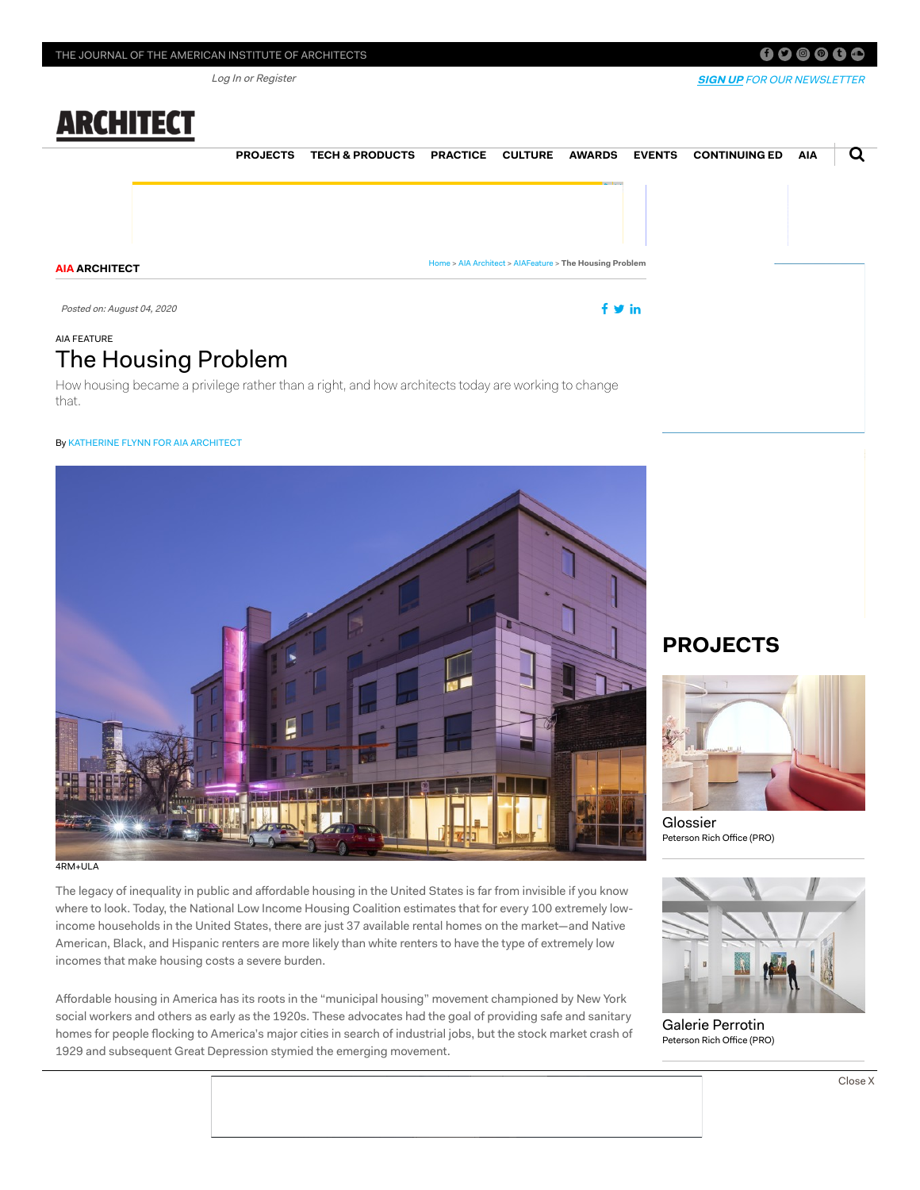Log In or Register

# **ARCHITECT**

**AIA ARCHITECT**

[Home](https://www.architectmagazine.com/) > AIA [Architect](https://www.architectmagazine.com/aia-architect/) > [AIAFeature](https://www.architectmagazine.com/aia-architect/aiafeature/) > **The Housing Problem**

Posted on: August 04, <sup>2020</sup>

### AIA FEATURE The Housing Problem

How housing became a privilege rather than a right, and how architects today are working to change that.

#### By KATHERINE FLYNN FOR AIA [ARCHITECT](https://www.architectmagazine.com/author/katherine-flynn-for-aia-architect)

# 4RM+ULA

The legacy of inequality in public and affordable housing in the United States is far from invisible if you know where to look. Today, the National Low Income Housing Coalition estimates that for every 100 extremely lowincome households in the United States, there are just 37 available rental homes on the market—and Native American, Black, and Hispanic renters are more likely than white renters to have the type of extremely low incomes that make housing costs a severe burden.

Affordable housing in America has its roots in the "municipal housing" movement championed by New York social workers and others as early as the 1920s. These advocates had the goal of providing safe and sanitary homes for people flocking to America's major cities in search of industrial jobs, but the stock market crash of 1929 and subsequent Great Depression stymied the emerging movement.

# **PROJECTS**



[Glossier](https://www.architectmagazine.com/project-gallery/glossier_1_o) Peterson Rich Office (PRO)



[Galerie Perrotin](https://www.architectmagazine.com/project-gallery/galerie-perrotin_o) Peterson Rich Office (PRO)

#### $f$   $\bullet$   $\circ$   $\bullet$   $t$   $\bullet$

**[SIGN](http://my.preferencecentral.com/hanleywoodmediainc/Editorial_Newsletter_RegForms/Architect_RegForm/?utm_source=architect&utm_medium=header_promo&utm_campaign=permalinks) UP** FOR OUR NEWSLETTER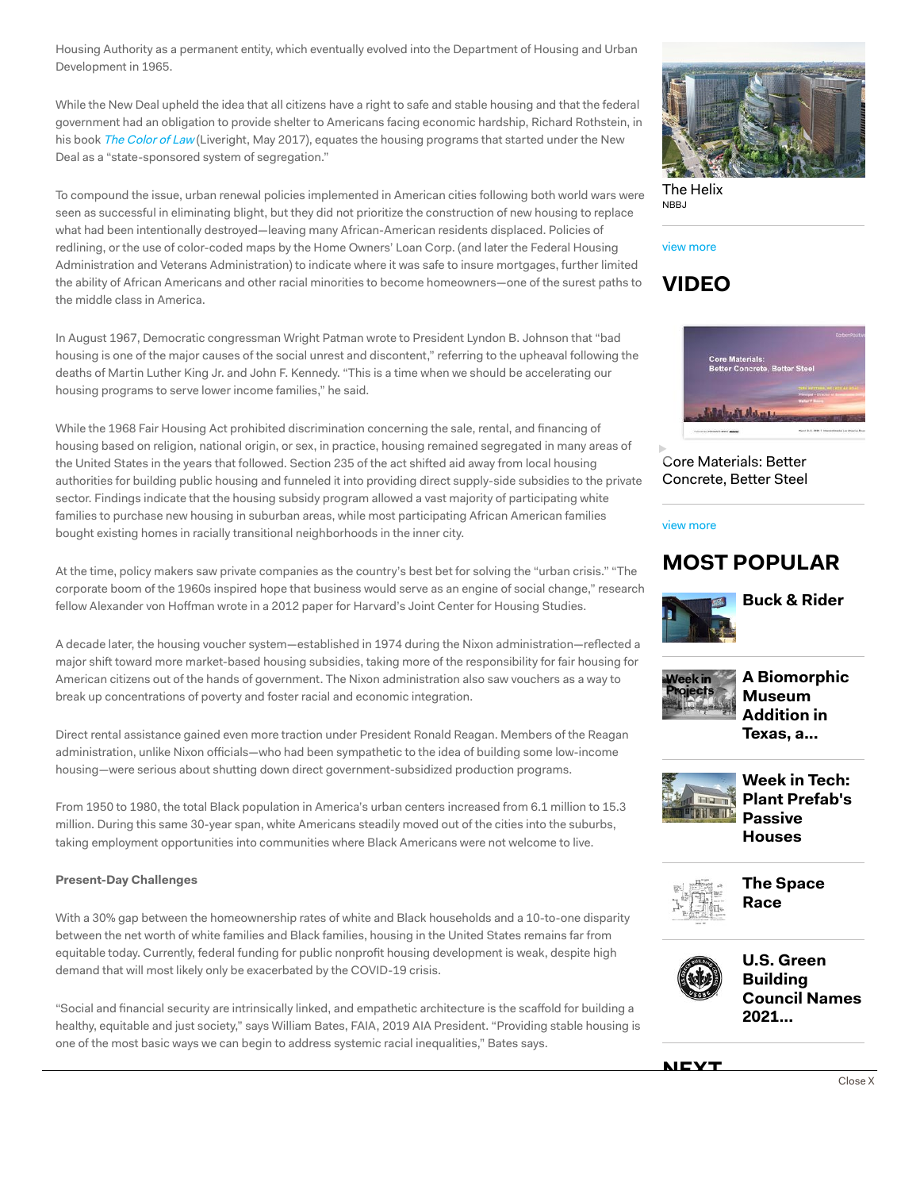Housing Authority as a permanent entity, which eventually evolved into the Department of Housing and Urban Development in 1965.

While the New Deal upheld the idea that all citizens have a right to safe and stable housing and that the federal government had an obligation to provide shelter to Americans facing economic hardship, Richard Rothstein, in his book The [Color](https://www.epi.org/publication/the-color-of-law-a-forgotten-history-of-how-our-government-segregated-america/) of Law (Liveright, May 2017), equates the housing programs that started under the New Deal as a "state-sponsored system of segregation."

To compound the issue, urban renewal policies implemented in American cities following both world wars were seen as successful in eliminating blight, but they did not prioritize the construction of new housing to replace what had been intentionally destroyed—leaving many African-American residents displaced. Policies of redlining, or the use of color-coded maps by the Home Owners' Loan Corp. (and later the Federal Housing Administration and Veterans Administration) to indicate where it was safe to insure mortgages, further limited the ability of African Americans and other racial minorities to become homeowners—one of the surest paths to the middle class in America.

In August 1967, Democratic congressman Wright Patman wrote to President Lyndon B. Johnson that "bad housing is one of the major causes of the social unrest and discontent," referring to the upheaval following the deaths of Martin Luther King Jr. and John F. Kennedy. "This is a time when we should be accelerating our housing programs to serve lower income families," he said.

While the 1968 Fair Housing Act prohibited discrimination concerning the sale, rental, and financing of housing based on religion, national origin, or sex, in practice, housing remained segregated in many areas of the United States in the years that followed. Section 235 of the act shifted aid away from local housing authorities for building public housing and funneled it into providing direct supply-side subsidies to the private sector. Findings indicate that the housing subsidy program allowed a vast majority of participating white families to purchase new housing in suburban areas, while most participating African American families bought existing homes in racially transitional neighborhoods in the inner city.

At the time, policy makers saw private companies as the country's best bet for solving the "urban crisis." "The corporate boom of the 1960s inspired hope that business would serve as an engine of social change," research fellow Alexander von Hoffman wrote in a 2012 paper for Harvard's Joint Center for Housing Studies.

A decade later, the housing voucher system—established in 1974 during the Nixon administration—reflected a major shift toward more market-based housing subsidies, taking more of the responsibility for fair housing for American citizens out of the hands of government. The Nixon administration also saw vouchers as a way to break up concentrations of poverty and foster racial and economic integration.

Direct rental assistance gained even more traction under President Ronald Reagan. Members of the Reagan administration, unlike Nixon officials—who had been sympathetic to the idea of building some low-income housing—were serious about shutting down direct government-subsidized production programs.

From 1950 to 1980, the total Black population in America's urban centers increased from 6.1 million to 15.3 million. During this same 30-year span, white Americans steadily moved out of the cities into the suburbs, taking employment opportunities into communities where Black Americans were not welcome to live.

#### **Present-Day Challenges**

With a 30% gap between the homeownership rates of white and Black households and a 10-to-one disparity between the net worth of white families and Black families, housing in the United States remains far from equitable today. Currently, federal funding for public nonprofit housing development is weak, despite high demand that will most likely only be exacerbated by the COVID-19 crisis.

"Social and financial security are intrinsically linked, and empathetic architecture is the scaffold for building a healthy, equitable and just society," says William Bates, FAIA, 2019 AIA President. "Providing stable housing is one of the most basic ways we can begin to address systemic racial inequalities," Bates says.



[The Helix](https://www.architectmagazine.com/project-gallery/the-helix_o) N<sub>RB</sub>

#### view [more](https://www.architectmagazine.com/project-gallery/)





[Core Materials:](https://www.architectmagazine.com/videos/core-materials-better-concrete-better-steel_o) Better Concrete, Better Steel

#### view [more](https://www.architectmagazine.com/videos)

### **MOST POPULAR**



**Buck & [Rider](https://www.architectmagazine.com/project-gallery/buck-rider)**



**A [Biomorphic](https://www.architectmagazine.com/Design/a-biomorphic-museum-addition-in-texas-a-monolithic-bibliotheater-in-shanghai-and-a-railway-development-in-the-netherlands_o) Museum Addition in Texas, a...**



**Week in Tech: Plant [Prefab's](https://www.architectmagazine.com/technology/week-in-tech-plant-prefabs-passive-houses_o) Passive Houses**



**The [Space](https://www.architectmagazine.com/aia-architect/aiafuture/the-space-race_o) Race**



**U.S. Green [Building](https://www.architectmagazine.com/practice/u-s-green-building-council-names-2021-board-of-directors_o) Council Names 2021...**



Close X